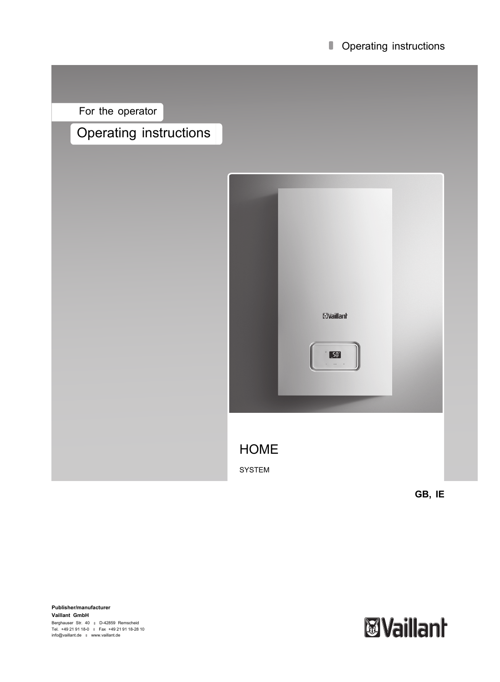#### **Operating instructions**

For the operator

# Operating instructions



**Publisher/manufacturer Vaillant GmbH** Berghauser Str. 40 ∥ D-42859 Remscheid<br>Tel. +49 21 91 18-0 ∥ Fax +49 21 91 18-28 10<br>info@vaillant.de ∥ www.vaillant.de

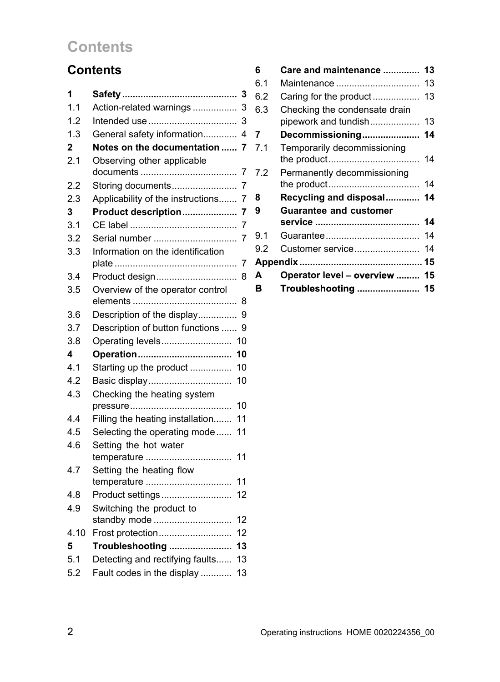# **Contents**

# **Contents**

| 1            | 3                                      |
|--------------|----------------------------------------|
| 1.1          | Action-related warnings<br>3           |
| 1.2          | 3                                      |
| 1.3          | General safety information<br>4        |
| $\mathbf{2}$ | Notes on the documentation<br>7        |
| 2.1          | Observing other applicable             |
|              | 7                                      |
| 2.2          | Storing documents<br>7                 |
| 2.3          | Applicability of the instructions<br>7 |
| 3            | Product description<br>7               |
| 3.1          | 7                                      |
| 3.2          | Serial number<br>7                     |
| 3.3          | Information on the identification<br>7 |
| 3.4          | Product design<br>8                    |
| 3.5          | Overview of the operator control       |
|              | 8                                      |
| 3.6          | Description of the display<br>9        |
| 3.7          | Description of button functions<br>9   |
| 3.8          | Operating levels<br>10                 |
| 4            | 10                                     |
| 4.1          | Starting up the product<br>10          |
| 4.2          | Basic display<br>10                    |
| 4.3          | Checking the heating system            |
|              | 10                                     |
| 4.4          | 11<br>Filling the heating installation |
| 4.5          | Selecting the operating mode<br>11     |
| 4.6          | Setting the hot water                  |
|              | 11<br>temperature                      |
| 4.7          | Setting the heating flow               |
|              | 11                                     |
| 4.8          | Product settings<br>12                 |
| 4.9          | Switching the product to               |
|              | standby mode<br>12                     |
| 4.10         | 12<br>Frost protection                 |
| 5            | Troubleshooting<br>13                  |
| 5.1          | Detecting and rectifying faults<br>13  |
| 5.2          | Fault codes in the display<br>13       |

| 6   | Care and maintenance  13                                 |    |
|-----|----------------------------------------------------------|----|
| 6.1 | Maintenance                                              | 13 |
| 6.2 | Caring for the product 13                                |    |
| 6.3 | Checking the condensate drain<br>pipework and tundish 13 |    |
| 7   | Decommissioning 14                                       |    |
| 7.1 | Temporarily decommissioning                              |    |
| 7.2 | Permanently decommissioning                              |    |
| 8   | Recycling and disposal 14                                |    |
| 9   | <b>Guarantee and customer</b>                            |    |
|     |                                                          |    |
| 9.1 |                                                          |    |
| 9.2 |                                                          |    |
|     |                                                          |    |
| A   | Operator level - overview  15                            |    |
| в   | Troubleshooting  15                                      |    |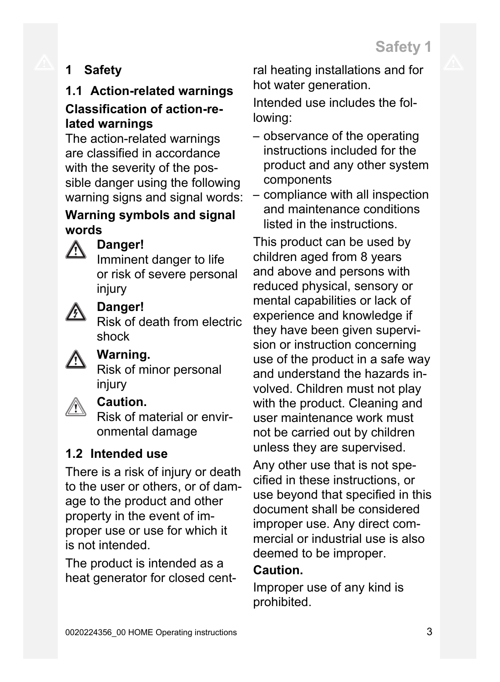# **1 Safety**

# **1.1 Action-related warnings Classification of action-related warnings**

The action-related warnings are classified in accordance with the severity of the possible danger using the following warning signs and signal words:

### **Warning symbols and signal words**



# **Danger!**

Imminent danger to life or risk of severe personal injury



### **Danger!**

Risk of death from electric shock



# **Warning.**

Risk of minor personal injury



### **Caution.**

Risk of material or environmental damage

# **1.2 Intended use**

There is a risk of injury or death to the user or others, or of damage to the product and other property in the event of improper use or use for which it is not intended.

The product is intended as a heat generator for closed central heating installations and for hot water generation.

Intended use includes the following:

- observance of the operating instructions included for the product and any other system components
- compliance with all inspection and maintenance conditions listed in the instructions.

This product can be used by children aged from 8 years and above and persons with reduced physical, sensory or mental capabilities or lack of experience and knowledge if they have been given supervision or instruction concerning use of the product in a safe way and understand the hazards involved. Children must not play with the product. Cleaning and user maintenance work must not be carried out by children unless they are supervised.

Any other use that is not specified in these instructions, or use beyond that specified in this document shall be considered improper use. Any direct commercial or industrial use is also deemed to be improper.

### **Caution.**

Improper use of any kind is prohibited.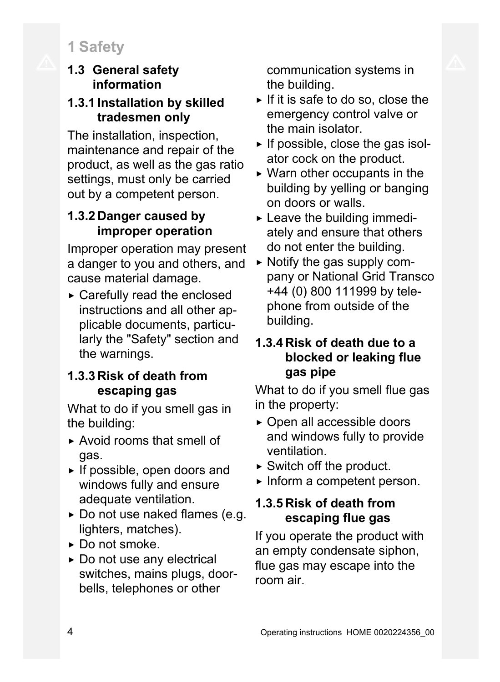# **1 Safety**

### **1.3 General safety information**

# **1.3.1 Installation by skilled tradesmen only**

The installation, inspection, maintenance and repair of the product, as well as the gas ratio settings, must only be carried out by a competent person.

# **1.3.2 Danger caused by improper operation**

Improper operation may present a danger to you and others, and cause material damage.

▶ Carefully read the enclosed instructions and all other applicable documents, particularly the "Safety" section and the warnings.

# **1.3.3 Risk of death from escaping gas**

What to do if you smell gas in the building:

- ▶ Avoid rooms that smell of gas.
- $\triangleright$  If possible, open doors and windows fully and ensure adequate ventilation.
- ▶ Do not use naked flames (e.g. lighters, matches).
- ▶ Do not smoke.
- ▶ Do not use any electrical switches, mains plugs, doorbells, telephones or other

communication systems in the building.

- $\triangleright$  If it is safe to do so, close the emergency control valve or the main isolator.
- $\triangleright$  If possible, close the gas isolator cock on the product.
- $\triangleright$  Warn other occupants in the building by yelling or banging on doors or walls.
- $\blacktriangleright$  Leave the building immediately and ensure that others do not enter the building.
- $\triangleright$  Notify the gas supply company or National Grid Transco +44 (0) 800 111999 by telephone from outside of the building.

# **1.3.4 Risk of death due to a blocked or leaking flue gas pipe**

What to do if you smell flue gas in the property:

- ▶ Open all accessible doors and windows fully to provide ventilation.
- $\triangleright$  Switch off the product.
- ▶ Inform a competent person.

# **1.3.5 Risk of death from escaping flue gas**

If you operate the product with an empty condensate siphon, flue gas may escape into the room air.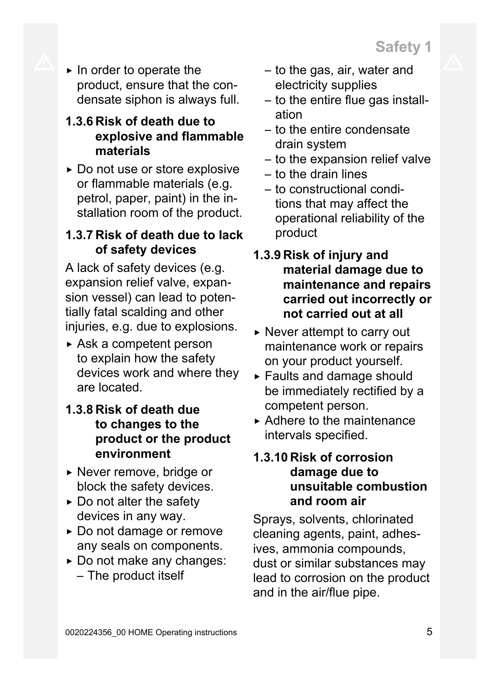▶ In order to operate the product, ensure that the condensate siphon is always full.

### **1.3.6 Risk of death due to explosive and flammable materials**

▶ Do not use or store explosive or flammable materials (e.g. petrol, paper, paint) in the installation room of the product.

### **1.3.7 Risk of death due to lack of safety devices**

A lack of safety devices (e.g. expansion relief valve, expansion vessel) can lead to potentially fatal scalding and other injuries, e.g. due to explosions.

 $\triangleright$  Ask a competent person to explain how the safety devices work and where they are located.

# **1.3.8 Risk of death due to changes to the product or the product environment**

- ▶ Never remove, bridge or block the safety devices.
- $\triangleright$  Do not alter the safety devices in any way.
- ▶ Do not damage or remove any seals on components.
- ▶ Do not make any changes: – The product itself
- to the gas, air, water and electricity supplies
- to the entire flue gas installation
- to the entire condensate drain system
- to the expansion relief valve
- to the drain lines
- to constructional conditions that may affect the operational reliability of the product
- **1.3.9 Risk of injury and material damage due to maintenance and repairs carried out incorrectly or not carried out at all**
- $\triangleright$  Never attempt to carry out maintenance work or repairs on your product yourself.
- ▶ Faults and damage should be immediately rectified by a competent person.
- $\triangleright$  Adhere to the maintenance intervals specified.

### **1.3.10 Risk of corrosion damage due to unsuitable combustion and room air**

Sprays, solvents, chlorinated cleaning agents, paint, adhesives, ammonia compounds, dust or similar substances may lead to corrosion on the product and in the air/flue pipe.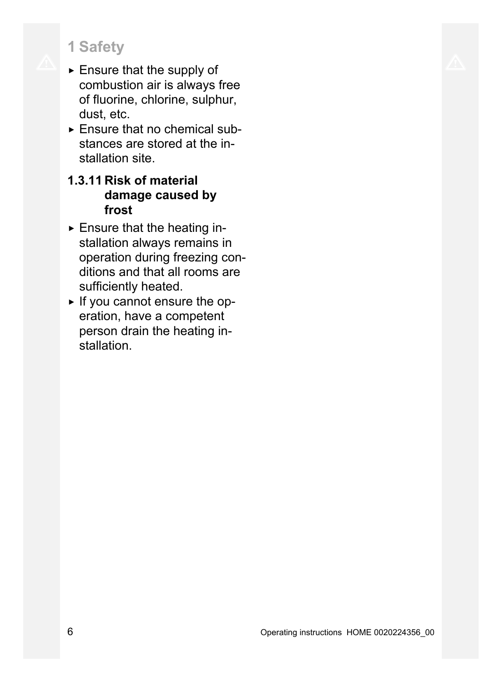# **1 Safety**

- $\blacktriangleright$  Ensure that the supply of combustion air is always free of fluorine, chlorine, sulphur, dust, etc.
- $\triangleright$  Ensure that no chemical substances are stored at the installation site.

# **1.3.11 Risk of material damage caused by frost**

- ▶ Ensure that the heating installation always remains in operation during freezing conditions and that all rooms are sufficiently heated.
- ▶ If you cannot ensure the operation, have a competent person drain the heating installation.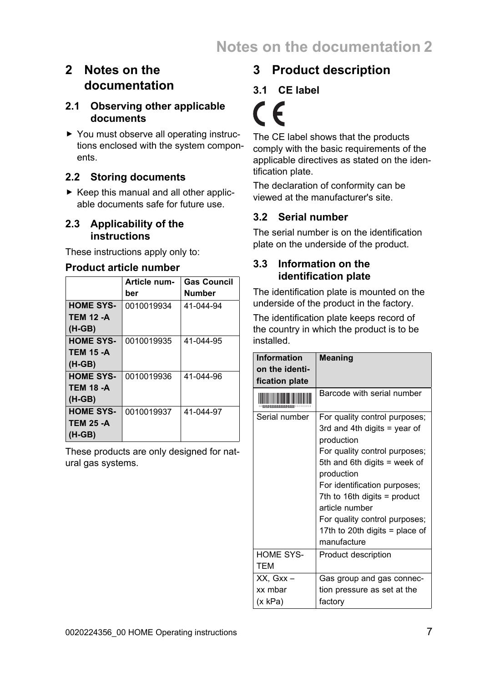# **2 Notes on the documentation**

#### **2.1 Observing other applicable documents**

▶ You must observe all operating instructions enclosed with the system components.

#### **2.2 Storing documents**

 $\triangleright$  Keep this manual and all other applicable documents safe for future use.

#### **2.3 Applicability of the instructions**

These instructions apply only to:

#### **Product article number**

|                  | Article num- | <b>Gas Council</b> |
|------------------|--------------|--------------------|
|                  | ber          | Number             |
| <b>HOME SYS-</b> | 0010019934   | 41-044-94          |
| <b>TEM 12 -A</b> |              |                    |
| $(H-GB)$         |              |                    |
| <b>HOME SYS-</b> | 0010019935   | 41-044-95          |
| <b>TEM 15 -A</b> |              |                    |
| $(H-GB)$         |              |                    |
| <b>HOME SYS-</b> | 0010019936   | 41-044-96          |
| <b>TEM 18 -A</b> |              |                    |
| $(H-GB)$         |              |                    |
| <b>HOME SYS-</b> | 0010019937   | 41-044-97          |
| <b>TEM 25 -A</b> |              |                    |
| $(H-GB)$         |              |                    |

These products are only designed for natural gas systems.

# **3 Product description**

#### **3.1 CE label**

C

The CE label shows that the products comply with the basic requirements of the applicable directives as stated on the identification plate.

The declaration of conformity can be viewed at the manufacturer's site.

#### **3.2 Serial number**

The serial number is on the identification plate on the underside of the product.

#### **3.3 Information on the identification plate**

The identification plate is mounted on the underside of the product in the factory.

The identification plate keeps record of the country in which the product is to be installed.

| <b>Information</b><br>on the identi-<br>fication plate | Meaning                                                                                                                                                                                                                                                                                                                          |
|--------------------------------------------------------|----------------------------------------------------------------------------------------------------------------------------------------------------------------------------------------------------------------------------------------------------------------------------------------------------------------------------------|
|                                                        | Barcode with serial number                                                                                                                                                                                                                                                                                                       |
| Serial number                                          | For quality control purposes;<br>3rd and 4th digits $=$ year of<br>production<br>For quality control purposes;<br>5th and 6th digits = week of<br>production<br>For identification purposes;<br>7th to 16th digits = product<br>article number<br>For quality control purposes;<br>17th to 20th digits = place of<br>manufacture |
| <b>HOME SYS-</b><br><b>TEM</b>                         | Product description                                                                                                                                                                                                                                                                                                              |
| XX. Gxx -<br>xx mbar<br>(x kPa)                        | Gas group and gas connec-<br>tion pressure as set at the<br>factory                                                                                                                                                                                                                                                              |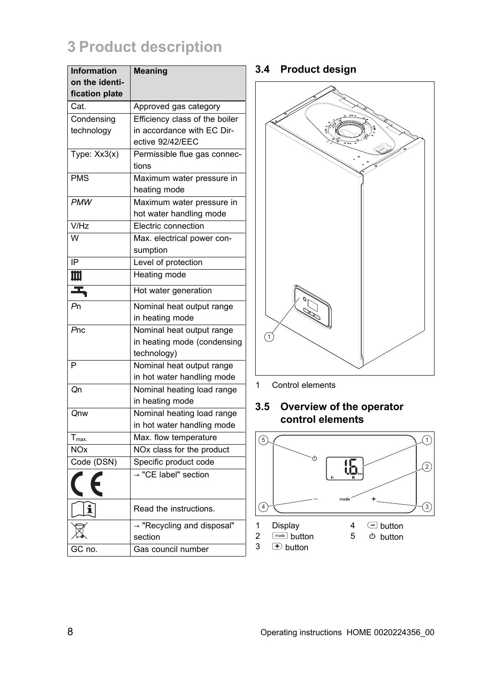# **3 Product description**

| <b>Information</b>               | <b>Meaning</b>                                |
|----------------------------------|-----------------------------------------------|
| on the identi-<br>fication plate |                                               |
| Cat.                             | Approved gas category                         |
| Condensing                       | Efficiency class of the boiler                |
| technology                       | in accordance with EC Dir-                    |
|                                  | ective 92/42/EEC                              |
| Type: Xx3(x)                     | Permissible flue gas connec-<br>tions         |
| <b>PMS</b>                       | Maximum water pressure in<br>heating mode     |
| <b>PMW</b>                       | Maximum water pressure in                     |
|                                  | hot water handling mode                       |
| V/Hz                             | Electric connection                           |
| W                                | Max. electrical power con-                    |
|                                  | sumption                                      |
| IP                               | Level of protection                           |
| Щ                                | <b>Heating mode</b>                           |
| Z,                               | Hot water generation                          |
| Pn                               | Nominal heat output range                     |
|                                  | in heating mode                               |
| Pnc                              | Nominal heat output range                     |
|                                  | in heating mode (condensing                   |
|                                  | technology)                                   |
| P                                | Nominal heat output range                     |
|                                  | in hot water handling mode                    |
| Qn                               | Nominal heating load range<br>in heating mode |
| Qnw                              | Nominal heating load range                    |
|                                  | in hot water handling mode                    |
| $T_{\text{max}}$                 | Max. flow temperature                         |
| <b>NOx</b>                       | NOx class for the product                     |
| Code (DSN)                       | Specific product code                         |
|                                  | $\rightarrow$ "CE label" section              |
| ĭ                                | Read the instructions.                        |
|                                  | → "Recycling and disposal"                    |
|                                  | section                                       |
| GC no.                           | Gas council number                            |

#### **3.4 Product design**



1 Control elements

#### **3.5 Overview of the operator control elements**

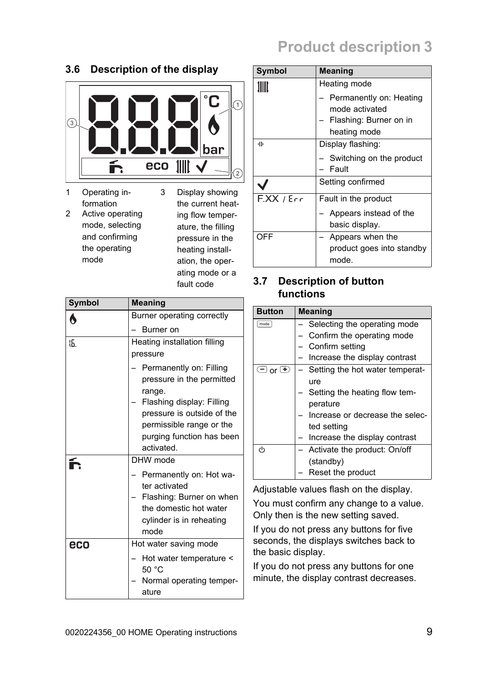# **Product description 3**

### **3.6 Description of the display**



1 Operating information 2 Active operating mode, selecting and confirming the operating mode

3 Display showing the current heating flow temperature, the filling pressure in the heating installation, the operating mode or a fault code

| Symbol | <b>Meaning</b>                                                                                                                                                        |  |
|--------|-----------------------------------------------------------------------------------------------------------------------------------------------------------------------|--|
| 6      | Burner operating correctly                                                                                                                                            |  |
|        | Burner on                                                                                                                                                             |  |
| 15.    | Heating installation filling<br>pressure<br>Permanently on: Filling                                                                                                   |  |
|        | pressure in the permitted<br>range.<br>Flashing display: Filling<br>pressure is outside of the<br>permissible range or the<br>purging function has been<br>activated. |  |
|        | DHW mode<br>Permanently on: Hot wa-<br>ter activated<br>Flashing: Burner on when<br>the domestic hot water<br>cylinder is in reheating<br>mode                        |  |
| eco    | Hot water saving mode<br>Hot water temperature <<br>50 °C<br>Normal operating temper-<br>ature                                                                        |  |

| Symbol  | <b>Meaning</b>            |  |
|---------|---------------------------|--|
|         | Heating mode              |  |
|         | Permanently on: Heating   |  |
|         | mode activated            |  |
|         | Flashing: Burner on in    |  |
|         | heating mode              |  |
| ᆥ       | Display flashing:         |  |
|         | Switching on the product  |  |
|         | Fault                     |  |
|         | Setting confirmed         |  |
| FXX/Err | Fault in the product      |  |
|         | Appears instead of the    |  |
|         | basic display.            |  |
| OFF     | Appears when the          |  |
|         | product goes into standby |  |
|         | mode.                     |  |

#### **3.7 Description of button functions**

| <b>Button</b>              | <b>Meaning</b>                  |  |  |
|----------------------------|---------------------------------|--|--|
| mode                       | Selecting the operating mode    |  |  |
|                            | Confirm the operating mode      |  |  |
|                            | Confirm setting                 |  |  |
|                            | Increase the display contrast   |  |  |
| $\bigoplus$ or $\bigoplus$ | Setting the hot water temperat- |  |  |
|                            | ure                             |  |  |
|                            | Setting the heating flow tem-   |  |  |
|                            | perature                        |  |  |
|                            | Increase or decrease the selec- |  |  |
|                            | ted setting                     |  |  |
|                            | Increase the display contrast   |  |  |
| (ካ                         | Activate the product: On/off    |  |  |
|                            | (standby)                       |  |  |
|                            | Reset the product               |  |  |

Adjustable values flash on the display.

You must confirm any change to a value. Only then is the new setting saved.

If you do not press any buttons for five seconds, the displays switches back to the basic display.

If you do not press any buttons for one minute, the display contrast decreases.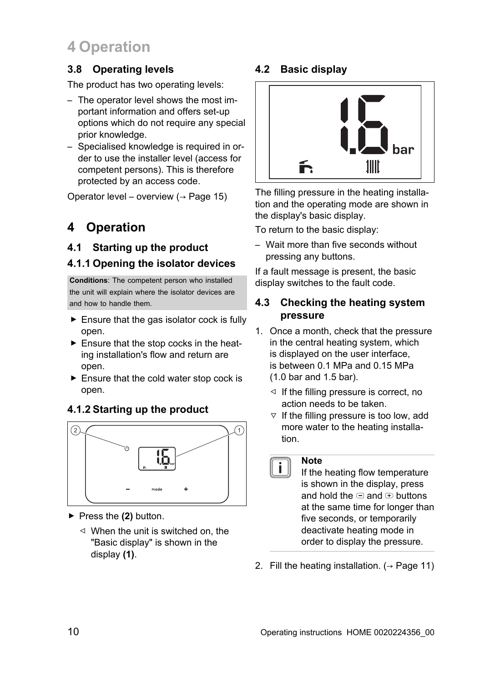# **4 Operation**

#### **3.8 Operating levels**

The product has two operating levels:

- The operator level shows the most important information and offers set-up options which do not require any special prior knowledge.
- Specialised knowledge is required in order to use the installer level (access for competent persons). This is therefore protected by an access code.

Operator level – overview  $($   $\rightarrow$  Page 15)

# **4 Operation**

#### **4.1 Starting up the product**

#### **4.1.1 Opening the isolator devices**

**Conditions**: The competent person who installed the unit will explain where the isolator devices are and how to handle them.

- $\blacktriangleright$  Ensure that the gas isolator cock is fully open.
- $\blacktriangleright$  Ensure that the stop cocks in the heating installation's flow and return are open.
- $\blacktriangleright$  Ensure that the cold water stop cock is open.

#### **4.1.2 Starting up the product**



- ▶ Press the **(2)** button.
	- $\triangleleft$  When the unit is switched on, the "Basic display" is shown in the display **(1)**.

#### **4.2 Basic display**



The filling pressure in the heating installation and the operating mode are shown in the display's basic display.

To return to the basic display:

– Wait more than five seconds without pressing any buttons.

If a fault message is present, the basic display switches to the fault code.

#### **4.3 Checking the heating system pressure**

- 1. Once a month, check that the pressure in the central heating system, which is displayed on the user interface, is between 0.1 MPa and 0.15 MPa (1.0 bar and 1.5 bar).
	- $\triangleleft$  If the filling pressure is correct, no action needs to be taken.
	- $\triangledown$  If the filling pressure is too low, add more water to the heating installation.

#### **Note**

 $\overline{\mathbf{i}}$ 

If the heating flow temperature is shown in the display, press and hold the  $\bigcirc$  and  $\bigcirc$  buttons at the same time for longer than five seconds, or temporarily deactivate heating mode in order to display the pressure.

2. Fill the heating installation.  $($   $\rightarrow$  Page 11)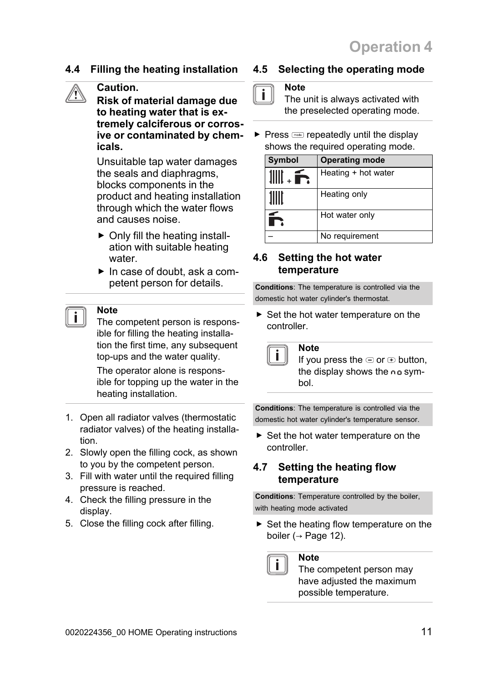#### **4.4 Filling the heating installation**

# **Caution.**

**Risk of material damage due to heating water that is extremely calciferous or corrosive or contaminated by chemicals.**

Unsuitable tap water damages the seals and diaphragms, blocks components in the product and heating installation through which the water flows and causes noise.

- $\triangleright$  Only fill the heating installation with suitable heating water.
- ▶ In case of doubt, ask a competent person for details.

#### **Note**

The competent person is responsible for filling the heating installation the first time, any subsequent top-ups and the water quality.

The operator alone is responsible for topping up the water in the heating installation.

- 1. Open all radiator valves (thermostatic radiator valves) of the heating installation.
- 2. Slowly open the filling cock, as shown to you by the competent person.
- 3. Fill with water until the required filling pressure is reached.
- 4. Check the filling pressure in the display.
- 5. Close the filling cock after filling.

#### **4.5 Selecting the operating mode**

#### **Note**

i.

The unit is always activated with the preselected operating mode.

 $\triangleright$  Press  $\sim$  repeatedly until the display shows the required operating mode.

| Symbol | <b>Operating mode</b> |  |
|--------|-----------------------|--|
|        | Heating + hot water   |  |
|        | Heating only          |  |
|        | Hot water only        |  |
|        | No requirement        |  |

#### **4.6 Setting the hot water temperature**

**Note**

**Conditions**: The temperature is controlled via the domestic hot water cylinder's thermostat.

▶ Set the hot water temperature on the controller.



If you press the  $\bigcirc$  or  $\bigcirc$  button, the display shows the  $n = sym$ bol.

**Conditions**: The temperature is controlled via the domestic hot water cylinder's temperature sensor.

▶ Set the hot water temperature on the controller.

#### **4.7 Setting the heating flow temperature**

**Conditions**: Temperature controlled by the boiler, with heating mode activated

 $\triangleright$  Set the heating flow temperature on the boiler ( $\rightarrow$  Page 12).

#### **Note**

The competent person may have adjusted the maximum possible temperature.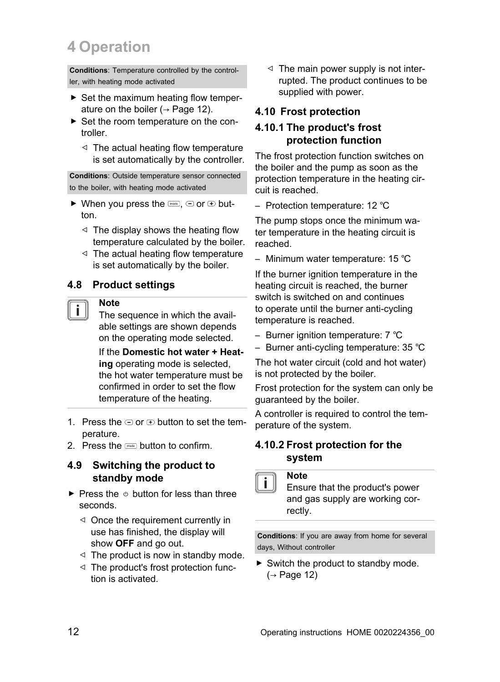# **4 Operation**

**Conditions**: Temperature controlled by the controller, with heating mode activated

- ▶ Set the maximum heating flow temperature on the boiler ( $\rightarrow$  Page 12).
- ▶ Set the room temperature on the controller.
	- $\triangleleft$  The actual heating flow temperature is set automatically by the controller.

**Conditions**: Outside temperature sensor connected to the boiler, with heating mode activated

- $\triangleright$  When you press the  $\equiv$ ,  $\ominus$  or  $\ominus$  button.
	- $\triangleleft$  The display shows the heating flow temperature calculated by the boiler.
	- $\triangleleft$  The actual heating flow temperature is set automatically by the boiler.

#### **4.8 Product settings**

#### **Note**

The sequence in which the available settings are shown depends on the operating mode selected.

If the **Domestic hot water + Heating** operating mode is selected, the hot water temperature must be confirmed in order to set the flow temperature of the heating.

- 1. Press the  $\bigcirc$  or  $\bigcirc$  button to set the temperature.
- 2. Press the  $\equiv$  button to confirm.

#### **4.9 Switching the product to standby mode**

- $\blacktriangleright$  Press the  $\triangle$  button for less than three seconds.
	- ◁ Once the requirement currently in use has finished, the display will show **OFF** and go out.
	- $\triangleleft$  The product is now in standby mode.
	- ◁ The product's frost protection function is activated.

 $\triangleleft$  The main power supply is not interrupted. The product continues to be supplied with power.

#### **4.10 Frost protection**

#### **4.10.1 The product's frost protection function**

The frost protection function switches on the boiler and the pump as soon as the protection temperature in the heating circuit is reached.

– Protection temperature: 12 ℃

The pump stops once the minimum water temperature in the heating circuit is reached.

– Minimum water temperature: 15 ℃

If the burner ignition temperature in the heating circuit is reached, the burner switch is switched on and continues to operate until the burner anti-cycling temperature is reached.

- Burner ignition temperature: 7 ℃
- Burner anti-cycling temperature: 35 ℃

The hot water circuit (cold and hot water) is not protected by the boiler.

Frost protection for the system can only be guaranteed by the boiler.

A controller is required to control the temperature of the system.

#### **4.10.2 Frost protection for the system**

#### **Note**

Ensure that the product's power and gas supply are working correctly.

**Conditions**: If you are away from home for several days, Without controller

▶ Switch the product to standby mode.  $(\rightarrow$  Page 12)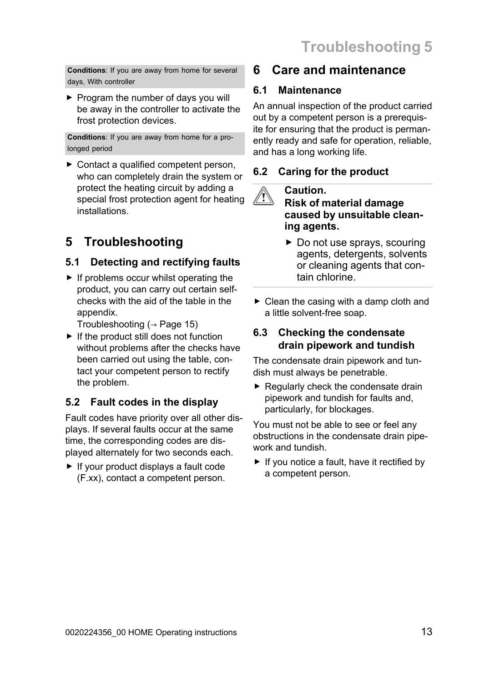**Conditions**: If you are away from home for several days, With controller

▶ Program the number of days you will be away in the controller to activate the frost protection devices.

**Conditions**: If you are away from home for a prolonged period

▶ Contact a qualified competent person, who can completely drain the system or protect the heating circuit by adding a special frost protection agent for heating installations.

# **5 Troubleshooting**

### **5.1 Detecting and rectifying faults**

 $\blacktriangleright$  If problems occur whilst operating the product, you can carry out certain selfchecks with the aid of the table in the appendix.

Troubleshooting ( $\rightarrow$  Page 15)

 $\blacktriangleright$  If the product still does not function without problems after the checks have been carried out using the table, contact your competent person to rectify the problem.

### **5.2 Fault codes in the display**

Fault codes have priority over all other displays. If several faults occur at the same time, the corresponding codes are displayed alternately for two seconds each.

▶ If your product displays a fault code (F.xx), contact a competent person.

# **6 Care and maintenance**

#### **6.1 Maintenance**

An annual inspection of the product carried out by a competent person is a prerequisite for ensuring that the product is permanently ready and safe for operation, reliable, and has a long working life.

### **6.2 Caring for the product**

#### **Caution. Risk of material damage caused by unsuitable cleaning agents.**

- ▶ Do not use sprays, scouring agents, detergents, solvents or cleaning agents that contain chlorine.
- $\triangleright$  Clean the casing with a damp cloth and a little solvent-free soap.

#### **6.3 Checking the condensate drain pipework and tundish**

The condensate drain pipework and tundish must always be penetrable.

 $\blacktriangleright$  Regularly check the condensate drain pipework and tundish for faults and, particularly, for blockages.

You must not be able to see or feel any obstructions in the condensate drain pipework and tundish.

 $\blacktriangleright$  If you notice a fault, have it rectified by a competent person.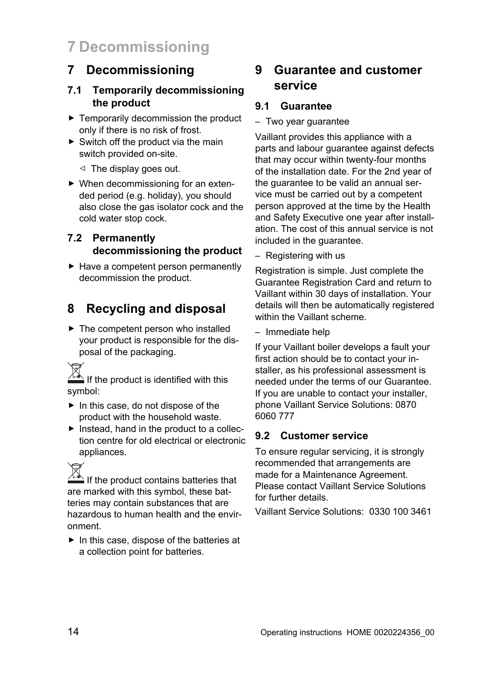# **7 Decommissioning**

# **7 Decommissioning**

#### **7.1 Temporarily decommissioning the product**

- ▶ Temporarily decommission the product only if there is no risk of frost.
- $\triangleright$  Switch off the product via the main switch provided on-site.
	- $\triangleleft$  The display goes out.
- ▶ When decommissioning for an extended period (e.g. holiday), you should also close the gas isolator cock and the cold water stop cock.

#### **7.2 Permanently decommissioning the product**

▶ Have a competent person permanently decommission the product.

# **8 Recycling and disposal**

 $\blacktriangleright$  The competent person who installed your product is responsible for the disposal of the packaging.

If the product is identified with this symbol:

- ▶ In this case, do not dispose of the product with the household waste.
- $\blacktriangleright$  Instead, hand in the product to a collection centre for old electrical or electronic appliances.

If the product contains batteries that are marked with this symbol, these batteries may contain substances that are hazardous to human health and the environment.

▶ In this case, dispose of the batteries at a collection point for batteries.

# **9 Guarantee and customer service**

#### **9.1 Guarantee**

– Two year guarantee

Vaillant provides this appliance with a parts and labour guarantee against defects that may occur within twenty-four months of the installation date. For the 2nd year of the guarantee to be valid an annual service must be carried out by a competent person approved at the time by the Health and Safety Executive one year after installation. The cost of this annual service is not included in the guarantee.

– Registering with us

Registration is simple. Just complete the Guarantee Registration Card and return to Vaillant within 30 days of installation. Your details will then be automatically registered within the Vaillant scheme.

– Immediate help

If your Vaillant boiler develops a fault your first action should be to contact your installer, as his professional assessment is needed under the terms of our Guarantee. If you are unable to contact your installer, phone Vaillant Service Solutions: 0870 6060 777

#### **9.2 Customer service**

To ensure regular servicing, it is strongly recommended that arrangements are made for a Maintenance Agreement. Please contact Vaillant Service Solutions for further details.

Vaillant Service Solutions: 0330 100 3461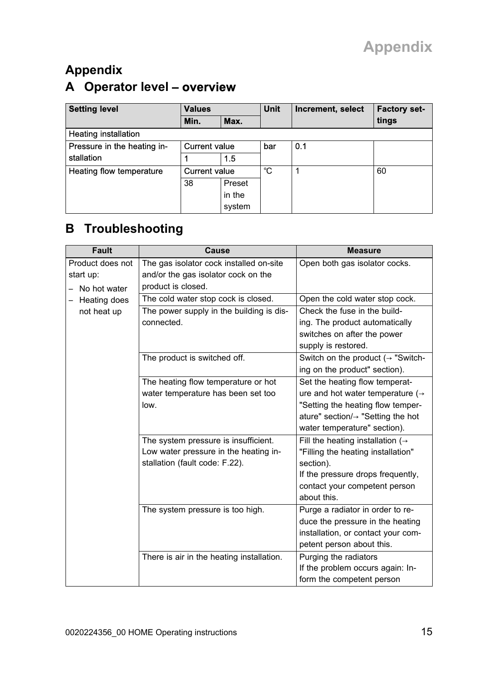# **Appendix**

# **A Operator level** – **overview**

| <b>Setting level</b>        | <b>Values</b>        |        | <b>Unit</b> | Increment, select | <b>Factory set-</b> |
|-----------------------------|----------------------|--------|-------------|-------------------|---------------------|
|                             | Min.                 | Max.   |             |                   | tings               |
| <b>Heating installation</b> |                      |        |             |                   |                     |
| Pressure in the heating in- | <b>Current value</b> |        | bar         | 0.1               |                     |
| stallation                  |                      | 15     |             |                   |                     |
| Heating flow temperature    | <b>Current value</b> |        | °C          |                   | 60                  |
|                             | 38                   | Preset |             |                   |                     |
|                             |                      | in the |             |                   |                     |
|                             |                      | system |             |                   |                     |

# **B Troubleshooting**

| <b>Fault</b>     | Cause                                     | <b>Measure</b>                                 |
|------------------|-------------------------------------------|------------------------------------------------|
| Product does not | The gas isolator cock installed on-site   | Open both gas isolator cocks.                  |
| start up:        | and/or the gas isolator cock on the       |                                                |
| No hot water     | product is closed.                        |                                                |
| Heating does     | The cold water stop cock is closed.       | Open the cold water stop cock.                 |
| not heat up      | The power supply in the building is dis-  | Check the fuse in the build-                   |
|                  | connected.                                | ing. The product automatically                 |
|                  |                                           | switches on after the power                    |
|                  |                                           | supply is restored.                            |
|                  | The product is switched off.              | Switch on the product $(\rightarrow$ "Switch-  |
|                  |                                           | ing on the product" section).                  |
|                  | The heating flow temperature or hot       | Set the heating flow temperat-                 |
|                  | water temperature has been set too        | ure and hot water temperature $(\rightarrow$   |
|                  | low.                                      | "Setting the heating flow temper-              |
|                  |                                           | ature" section/ $\rightarrow$ "Setting the hot |
|                  |                                           | water temperature" section).                   |
|                  | The system pressure is insufficient.      | Fill the heating installation ( $\rightarrow$  |
|                  | Low water pressure in the heating in-     | "Filling the heating installation"             |
|                  | stallation (fault code: F.22).            | section).                                      |
|                  |                                           | If the pressure drops frequently,              |
|                  |                                           | contact your competent person                  |
|                  |                                           | about this.                                    |
|                  | The system pressure is too high.          | Purge a radiator in order to re-               |
|                  |                                           | duce the pressure in the heating               |
|                  |                                           | installation, or contact your com-             |
|                  |                                           | petent person about this.                      |
|                  | There is air in the heating installation. | Purging the radiators                          |
|                  |                                           | If the problem occurs again: In-               |
|                  |                                           | form the competent person                      |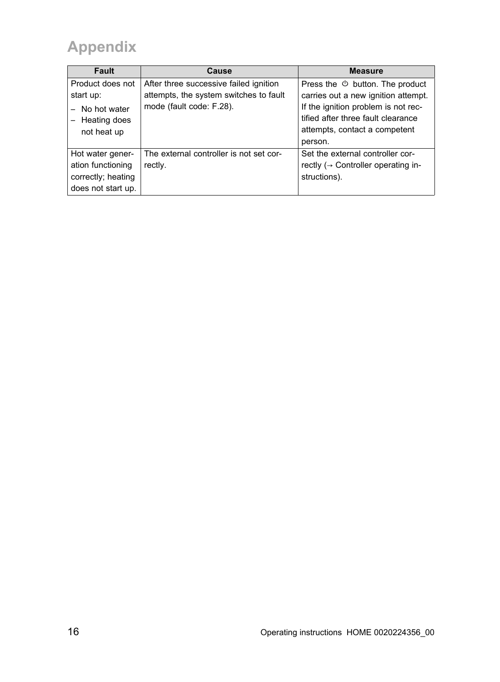# **Appendix**

| <b>Fault</b>       | Cause                                   | <b>Measure</b>                                   |
|--------------------|-----------------------------------------|--------------------------------------------------|
| Product does not   | After three successive failed ignition  | Press the $\circlearrowleft$ button. The product |
| start up:          | attempts, the system switches to fault  | carries out a new ignition attempt.              |
| No hot water       | mode (fault code: F.28).                | If the ignition problem is not rec-              |
| Heating does       |                                         | tified after three fault clearance               |
| not heat up        |                                         | attempts, contact a competent                    |
|                    |                                         | person.                                          |
| Hot water gener-   | The external controller is not set cor- | Set the external controller cor-                 |
| ation functioning  | rectly.                                 | rectly $(\rightarrow$ Controller operating in-   |
| correctly; heating |                                         | structions).                                     |
| does not start up. |                                         |                                                  |